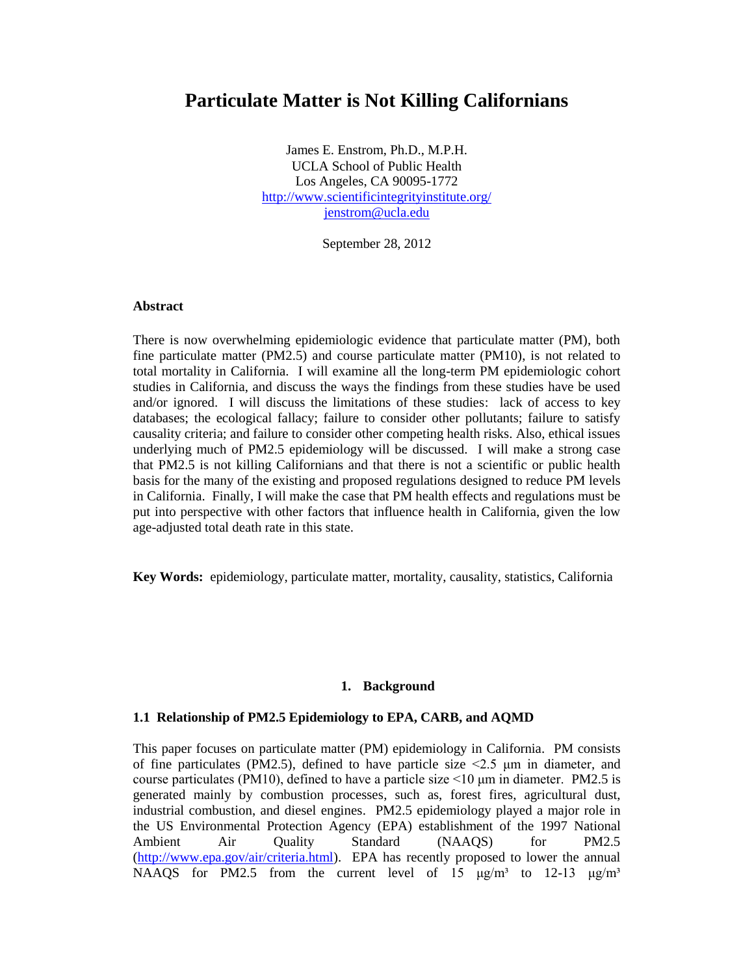# **Particulate Matter is Not Killing Californians**

James E. Enstrom, Ph.D., M.P.H. UCLA School of Public Health Los Angeles, CA 90095-1772 <http://www.scientificintegrityinstitute.org/> [jenstrom@ucla.edu](mailto:jenstrom@ucla.edu)

September 28, 2012

## **Abstract**

There is now overwhelming epidemiologic evidence that particulate matter (PM), both fine particulate matter (PM2.5) and course particulate matter (PM10), is not related to total mortality in California. I will examine all the long-term PM epidemiologic cohort studies in California, and discuss the ways the findings from these studies have be used and/or ignored. I will discuss the limitations of these studies: lack of access to key databases; the ecological fallacy; failure to consider other pollutants; failure to satisfy causality criteria; and failure to consider other competing health risks. Also, ethical issues underlying much of PM2.5 epidemiology will be discussed. I will make a strong case that PM2.5 is not killing Californians and that there is not a scientific or public health basis for the many of the existing and proposed regulations designed to reduce PM levels in California. Finally, I will make the case that PM health effects and regulations must be put into perspective with other factors that influence health in California, given the low age-adjusted total death rate in this state.

**Key Words:** epidemiology, particulate matter, mortality, causality, statistics, California

#### **1. Background**

#### **1.1 Relationship of PM2.5 Epidemiology to EPA, CARB, and AQMD**

This paper focuses on particulate matter (PM) epidemiology in California. PM consists of fine particulates (PM2.5), defined to have particle size  $\leq$ 2.5  $\mu$ m in diameter, and course particulates (PM10), defined to have a particle size  $\leq 10$  µm in diameter. PM2.5 is generated mainly by combustion processes, such as, forest fires, agricultural dust, industrial combustion, and diesel engines. PM2.5 epidemiology played a major role in the US Environmental Protection Agency (EPA) establishment of the 1997 National Ambient Air Quality Standard (NAAQS) for PM2.5 [\(http://www.epa.gov/air/criteria.html\)](http://www.epa.gov/air/criteria.html). EPA has recently proposed to lower the annual NAAQS for PM2.5 from the current level of 15  $\mu$ g/m<sup>3</sup> to 12-13  $\mu$ g/m<sup>3</sup>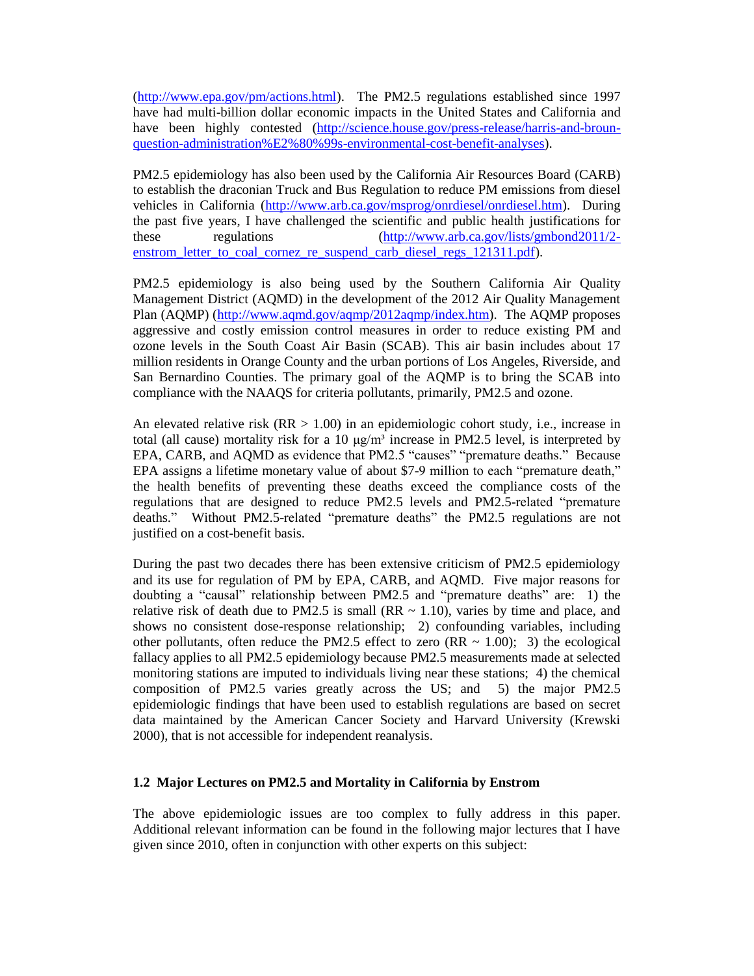[\(http://www.epa.gov/pm/actions.html\)](http://www.epa.gov/pm/actions.html). The PM2.5 regulations established since 1997 have had multi-billion dollar economic impacts in the United States and California and have been highly contested [\(http://science.house.gov/press-release/harris-and-broun](http://science.house.gov/press-release/harris-and-broun-question-administration%E2%80%99s-environmental-cost-benefit-analyses)[question-administration%E2%80%99s-environmental-cost-benefit-analyses\)](http://science.house.gov/press-release/harris-and-broun-question-administration%E2%80%99s-environmental-cost-benefit-analyses).

PM2.5 epidemiology has also been used by the California Air Resources Board (CARB) to establish the draconian Truck and Bus Regulation to reduce PM emissions from diesel vehicles in California [\(http://www.arb.ca.gov/msprog/onrdiesel/onrdiesel.htm\)](http://www.arb.ca.gov/msprog/onrdiesel/onrdiesel.htm). During the past five years, I have challenged the scientific and public health justifications for these regulations [\(http://www.arb.ca.gov/lists/gmbond2011/2](http://www.arb.ca.gov/lists/gmbond2011/2-enstrom_letter_to_coal_cornez_re_suspend_carb_diesel_regs_121311.pdf) [enstrom\\_letter\\_to\\_coal\\_cornez\\_re\\_suspend\\_carb\\_diesel\\_regs\\_121311.pdf\)](http://www.arb.ca.gov/lists/gmbond2011/2-enstrom_letter_to_coal_cornez_re_suspend_carb_diesel_regs_121311.pdf).

PM2.5 epidemiology is also being used by the Southern California Air Quality Management District (AQMD) in the development of the 2012 Air Quality Management Plan (AQMP) [\(http://www.aqmd.gov/aqmp/2012aqmp/index.htm\)](http://www.aqmd.gov/aqmp/2012aqmp/index.htm). The AQMP proposes aggressive and costly emission control measures in order to reduce existing PM and ozone levels in the South Coast Air Basin (SCAB). This air basin includes about 17 million residents in Orange County and the urban portions of Los Angeles, Riverside, and San Bernardino Counties. The primary goal of the AQMP is to bring the SCAB into compliance with the NAAQS for criteria pollutants, primarily, PM2.5 and ozone.

An elevated relative risk  $(RR > 1.00)$  in an epidemiologic cohort study, i.e., increase in total (all cause) mortality risk for a 10  $\mu$ g/m<sup>3</sup> increase in PM2.5 level, is interpreted by EPA, CARB, and AQMD as evidence that PM2.5 "causes" "premature deaths." Because EPA assigns a lifetime monetary value of about \$7-9 million to each "premature death," the health benefits of preventing these deaths exceed the compliance costs of the regulations that are designed to reduce PM2.5 levels and PM2.5-related "premature deaths." Without PM2.5-related "premature deaths" the PM2.5 regulations are not justified on a cost-benefit basis.

During the past two decades there has been extensive criticism of PM2.5 epidemiology and its use for regulation of PM by EPA, CARB, and AQMD. Five major reasons for doubting a "causal" relationship between PM2.5 and "premature deaths" are: 1) the relative risk of death due to PM2.5 is small (RR  $\sim$  1.10), varies by time and place, and shows no consistent dose-response relationship; 2) confounding variables, including other pollutants, often reduce the PM2.5 effect to zero (RR  $\sim$  1.00); 3) the ecological fallacy applies to all PM2.5 epidemiology because PM2.5 measurements made at selected monitoring stations are imputed to individuals living near these stations; 4) the chemical composition of PM2.5 varies greatly across the US; and 5) the major PM2.5 epidemiologic findings that have been used to establish regulations are based on secret data maintained by the American Cancer Society and Harvard University (Krewski 2000), that is not accessible for independent reanalysis.

## **1.2 Major Lectures on PM2.5 and Mortality in California by Enstrom**

The above epidemiologic issues are too complex to fully address in this paper. Additional relevant information can be found in the following major lectures that I have given since 2010, often in conjunction with other experts on this subject: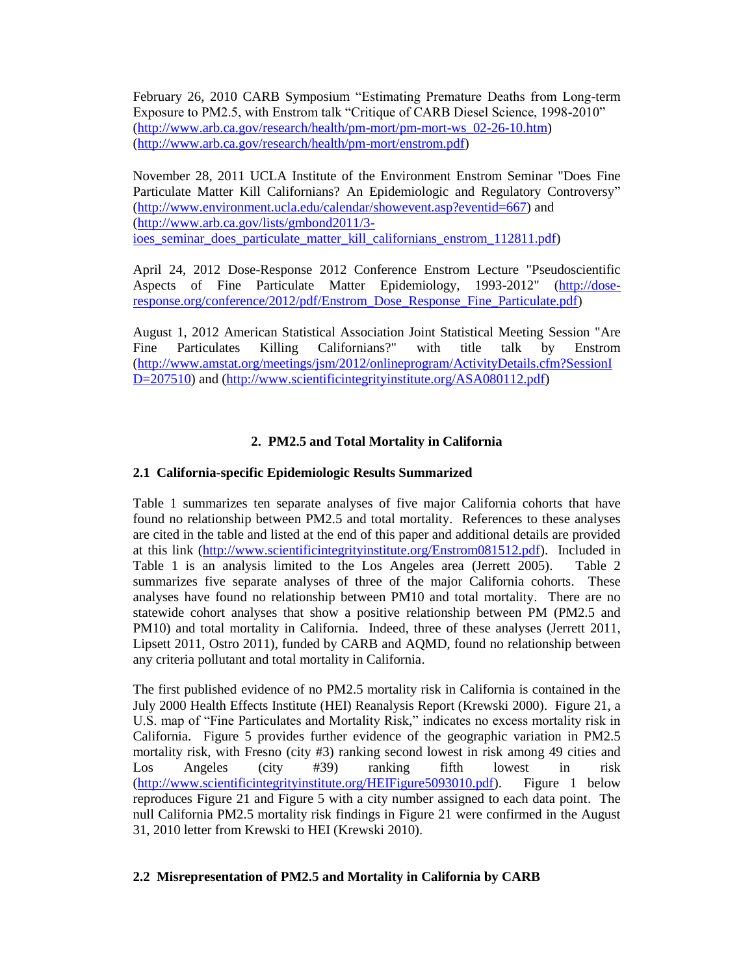February 26, 2010 CARB Symposium "Estimating Premature Deaths from Long-term Exposure to PM2.5, with Enstrom talk "Critique of CARB Diesel Science, 1998-2010" [\(http://www.arb.ca.gov/research/health/pm-mort/pm-mort-ws\\_02-26-10.htm\)](http://www.arb.ca.gov/research/health/pm-mort/pm-mort-ws_02-26-10.htm) [\(http://www.arb.ca.gov/research/health/pm-mort/enstrom.pdf\)](http://www.arb.ca.gov/research/health/pm-mort/enstrom.pdf)

November 28, 2011 UCLA Institute of the Environment Enstrom Seminar "Does Fine Particulate Matter Kill Californians? An Epidemiologic and Regulatory Controversy" [\(http://www.environment.ucla.edu/calendar/showevent.asp?eventid=667\)](http://www.environment.ucla.edu/calendar/showevent.asp?eventid=667) and [\(http://www.arb.ca.gov/lists/gmbond2011/3](http://www.arb.ca.gov/lists/gmbond2011/3-ioes_seminar_does_particulate_matter_kill_californians_enstrom_112811.pdf) ioes seminar does particulate matter kill californians enstrom 112811.pdf)

April 24, 2012 Dose-Response 2012 Conference Enstrom Lecture "Pseudoscientific Aspects of Fine Particulate Matter Epidemiology, 1993-2012" [\(http://dose](http://dose-response.org/conference/2012/pdf/Enstrom_Dose_Response_Fine_Particulate.pdf)[response.org/conference/2012/pdf/Enstrom\\_Dose\\_Response\\_Fine\\_Particulate.pdf\)](http://dose-response.org/conference/2012/pdf/Enstrom_Dose_Response_Fine_Particulate.pdf)

August 1, 2012 American Statistical Association Joint Statistical Meeting Session "Are Fine Particulates Killing Californians?" with title talk by Enstrom [\(http://www.amstat.org/meetings/jsm/2012/onlineprogram/ActivityDetails.cfm?SessionI](http://www.amstat.org/meetings/jsm/2012/onlineprogram/ActivityDetails.cfm?SessionID=207510) [D=207510\)](http://www.amstat.org/meetings/jsm/2012/onlineprogram/ActivityDetails.cfm?SessionID=207510) and [\(http://www.scientificintegrityinstitute.org/ASA080112.pdf\)](http://www.scientificintegrityinstitute.org/ASA080112.pdf)

## **2. PM2.5 and Total Mortality in California**

## **2.1 California-specific Epidemiologic Results Summarized**

Table 1 summarizes ten separate analyses of five major California cohorts that have found no relationship between PM2.5 and total mortality. References to these analyses are cited in the table and listed at the end of this paper and additional details are provided at this link [\(http://www.scientificintegrityinstitute.org/Enstrom081512.pdf\)](http://www.scientificintegrityinstitute.org/Enstrom081512.pdf). Included in Table 1 is an analysis limited to the Los Angeles area (Jerrett 2005). Table 2 summarizes five separate analyses of three of the major California cohorts. These analyses have found no relationship between PM10 and total mortality. There are no statewide cohort analyses that show a positive relationship between PM (PM2.5 and PM10) and total mortality in California. Indeed, three of these analyses (Jerrett 2011, Lipsett 2011, Ostro 2011), funded by CARB and AQMD, found no relationship between any criteria pollutant and total mortality in California.

The first published evidence of no PM2.5 mortality risk in California is contained in the July 2000 Health Effects Institute (HEI) Reanalysis Report (Krewski 2000). Figure 21, a U.S. map of "Fine Particulates and Mortality Risk," indicates no excess mortality risk in California. Figure 5 provides further evidence of the geographic variation in PM2.5 mortality risk, with Fresno (city #3) ranking second lowest in risk among 49 cities and Los Angeles (city #39) ranking fifth lowest in risk [\(http://www.scientificintegrityinstitute.org/HEIFigure5093010.pdf\)](http://www.scientificintegrityinstitute.org/HEIFigure5093010.pdf). Figure 1 below reproduces Figure 21 and Figure 5 with a city number assigned to each data point. The null California PM2.5 mortality risk findings in Figure 21 were confirmed in the August 31, 2010 letter from Krewski to HEI (Krewski 2010).

## **2.2 Misrepresentation of PM2.5 and Mortality in California by CARB**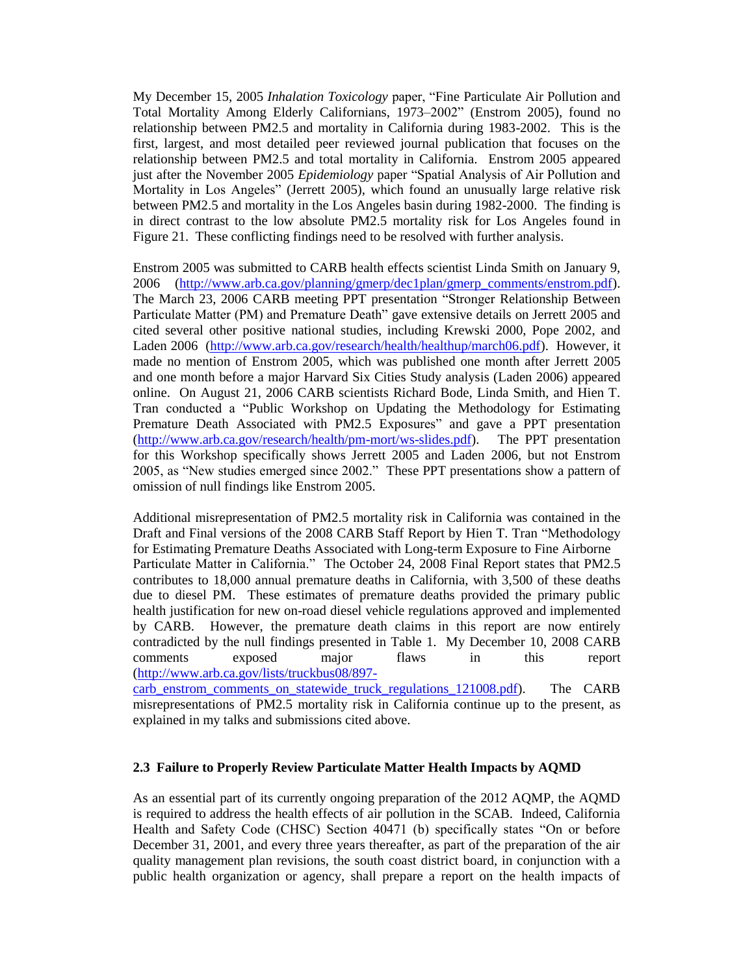My December 15, 2005 *Inhalation Toxicology* paper, "Fine Particulate Air Pollution and Total Mortality Among Elderly Californians, 1973–2002" (Enstrom 2005), found no relationship between PM2.5 and mortality in California during 1983-2002. This is the first, largest, and most detailed peer reviewed journal publication that focuses on the relationship between PM2.5 and total mortality in California. Enstrom 2005 appeared just after the November 2005 *Epidemiology* paper "Spatial Analysis of Air Pollution and Mortality in Los Angeles" (Jerrett 2005), which found an unusually large relative risk between PM2.5 and mortality in the Los Angeles basin during 1982-2000. The finding is in direct contrast to the low absolute PM2.5 mortality risk for Los Angeles found in Figure 21. These conflicting findings need to be resolved with further analysis.

Enstrom 2005 was submitted to CARB health effects scientist Linda Smith on January 9, 2006 [\(http://www.arb.ca.gov/planning/gmerp/dec1plan/gmerp\\_comments/enstrom.pdf\)](http://www.arb.ca.gov/planning/gmerp/dec1plan/gmerp_comments/enstrom.pdf). The March 23, 2006 CARB meeting PPT presentation "Stronger Relationship Between Particulate Matter (PM) and Premature Death" gave extensive details on Jerrett 2005 and cited several other positive national studies, including Krewski 2000, Pope 2002, and Laden 2006 [\(http://www.arb.ca.gov/research/health/healthup/march06.pdf\)](http://www.arb.ca.gov/research/health/healthup/march06.pdf). However, it made no mention of Enstrom 2005, which was published one month after Jerrett 2005 and one month before a major Harvard Six Cities Study analysis (Laden 2006) appeared online. On August 21, 2006 CARB scientists Richard Bode, Linda Smith, and Hien T. Tran conducted a "Public Workshop on Updating the Methodology for Estimating Premature Death Associated with PM2.5 Exposures" and gave a PPT presentation [\(http://www.arb.ca.gov/research/health/pm-mort/ws-slides.pdf\)](http://www.arb.ca.gov/research/health/pm-mort/ws-slides.pdf). The PPT presentation for this Workshop specifically shows Jerrett 2005 and Laden 2006, but not Enstrom 2005, as "New studies emerged since 2002." These PPT presentations show a pattern of omission of null findings like Enstrom 2005.

Additional misrepresentation of PM2.5 mortality risk in California was contained in the Draft and Final versions of the 2008 CARB Staff Report by Hien T. Tran "Methodology for Estimating Premature Deaths Associated with Long-term Exposure to Fine Airborne Particulate Matter in California." The October 24, 2008 Final Report states that PM2.5 contributes to 18,000 annual premature deaths in California, with 3,500 of these deaths due to diesel PM. These estimates of premature deaths provided the primary public health justification for new on-road diesel vehicle regulations approved and implemented by CARB. However, the premature death claims in this report are now entirely contradicted by the null findings presented in Table 1. My December 10, 2008 CARB comments exposed major flaws in this report [\(http://www.arb.ca.gov/lists/truckbus08/897-](http://www.arb.ca.gov/lists/truckbus08/897-carb_enstrom_comments_on_statewide_truck_regulations_121008.pdf)

[carb\\_enstrom\\_comments\\_on\\_statewide\\_truck\\_regulations\\_121008.pdf\)](http://www.arb.ca.gov/lists/truckbus08/897-carb_enstrom_comments_on_statewide_truck_regulations_121008.pdf). The CARB misrepresentations of PM2.5 mortality risk in California continue up to the present, as explained in my talks and submissions cited above.

## **2.3 Failure to Properly Review Particulate Matter Health Impacts by AQMD**

As an essential part of its currently ongoing preparation of the 2012 AQMP, the AQMD is required to address the health effects of air pollution in the SCAB. Indeed, California Health and Safety Code (CHSC) Section 40471 (b) specifically states "On or before December 31, 2001, and every three years thereafter, as part of the preparation of the air quality management plan revisions, the south coast district board, in conjunction with a public health organization or agency, shall prepare a report on the health impacts of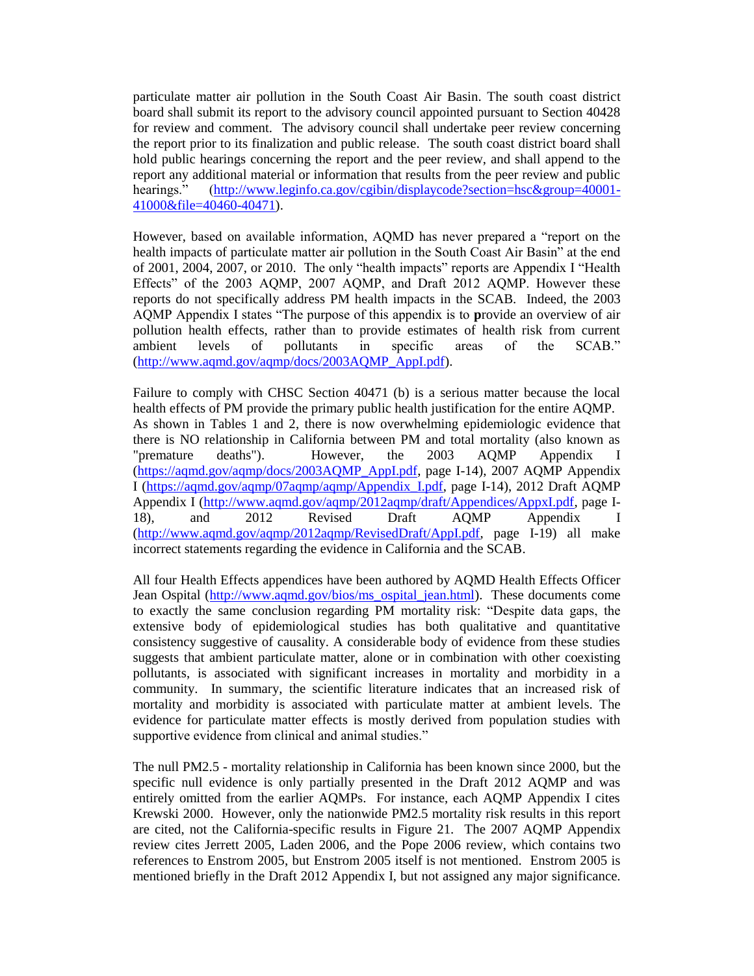particulate matter air pollution in the South Coast Air Basin. The south coast district board shall submit its report to the advisory council appointed pursuant to Section 40428 for review and comment. The advisory council shall undertake peer review concerning the report prior to its finalization and public release. The south coast district board shall hold public hearings concerning the report and the peer review, and shall append to the report any additional material or information that results from the peer review and public hearings." [\(http://www.leginfo.ca.gov/cgibin/displaycode?section=hsc&group=40001-](http://www.leginfo.ca.gov/cgibin/displaycode?section=hsc&group=40001-41000&file=40460-40471) [41000&file=40460-40471\)](http://www.leginfo.ca.gov/cgibin/displaycode?section=hsc&group=40001-41000&file=40460-40471).

However, based on available information, AQMD has never prepared a "report on the health impacts of particulate matter air pollution in the South Coast Air Basin" at the end of 2001, 2004, 2007, or 2010. The only "health impacts" reports are Appendix I "Health Effects" of the 2003 AQMP, 2007 AQMP, and Draft 2012 AQMP. However these reports do not specifically address PM health impacts in the SCAB. Indeed, the 2003 AQMP Appendix I states "The purpose of this appendix is to **p**rovide an overview of air pollution health effects, rather than to provide estimates of health risk from current ambient levels of pollutants in specific areas of the SCAB." [\(http://www.aqmd.gov/aqmp/docs/2003AQMP\\_AppI.pdf\)](http://www.aqmd.gov/aqmp/docs/2003AQMP_AppI.pdf).

Failure to comply with CHSC Section 40471 (b) is a serious matter because the local health effects of PM provide the primary public health justification for the entire AQMP. As shown in Tables 1 and 2, there is now overwhelming epidemiologic evidence that there is NO relationship in California between PM and total mortality (also known as "premature deaths"). However, the 2003 AQMP Appendix I [\(https://aqmd.gov/aqmp/docs/2003AQMP\\_AppI.pdf,](https://aqmd.gov/aqmp/docs/2003AQMP_AppI.pdf) page I-14), 2007 AQMP Appendix I [\(https://aqmd.gov/aqmp/07aqmp/aqmp/Appendix\\_I.pdf,](https://aqmd.gov/aqmp/07aqmp/aqmp/Appendix_I.pdf) page I-14), 2012 Draft AQMP Appendix I [\(http://www.aqmd.gov/aqmp/2012aqmp/draft/Appendices/AppxI.pdf,](http://www.aqmd.gov/aqmp/2012aqmp/draft/Appendices/AppxI.pdf) page I-18), and 2012 Revised Draft AQMP Appendix I [\(http://www.aqmd.gov/aqmp/2012aqmp/RevisedDraft/AppI.pdf,](http://www.aqmd.gov/aqmp/2012aqmp/RevisedDraft/AppI.pdf) page I-19) all make incorrect statements regarding the evidence in California and the SCAB.

All four Health Effects appendices have been authored by AQMD Health Effects Officer Jean Ospital [\(http://www.aqmd.gov/bios/ms\\_ospital\\_jean.html\)](http://www.aqmd.gov/bios/ms_ospital_jean.html). These documents come to exactly the same conclusion regarding PM mortality risk: "Despite data gaps, the extensive body of epidemiological studies has both qualitative and quantitative consistency suggestive of causality. A considerable body of evidence from these studies suggests that ambient particulate matter, alone or in combination with other coexisting pollutants, is associated with significant increases in mortality and morbidity in a community. In summary, the scientific literature indicates that an increased risk of mortality and morbidity is associated with particulate matter at ambient levels. The evidence for particulate matter effects is mostly derived from population studies with supportive evidence from clinical and animal studies."

The null PM2.5 - mortality relationship in California has been known since 2000, but the specific null evidence is only partially presented in the Draft 2012 AQMP and was entirely omitted from the earlier AQMPs. For instance, each AQMP Appendix I cites Krewski 2000. However, only the nationwide PM2.5 mortality risk results in this report are cited, not the California-specific results in Figure 21. The 2007 AQMP Appendix review cites Jerrett 2005, Laden 2006, and the Pope 2006 review, which contains two references to Enstrom 2005, but Enstrom 2005 itself is not mentioned. Enstrom 2005 is mentioned briefly in the Draft 2012 Appendix I, but not assigned any major significance.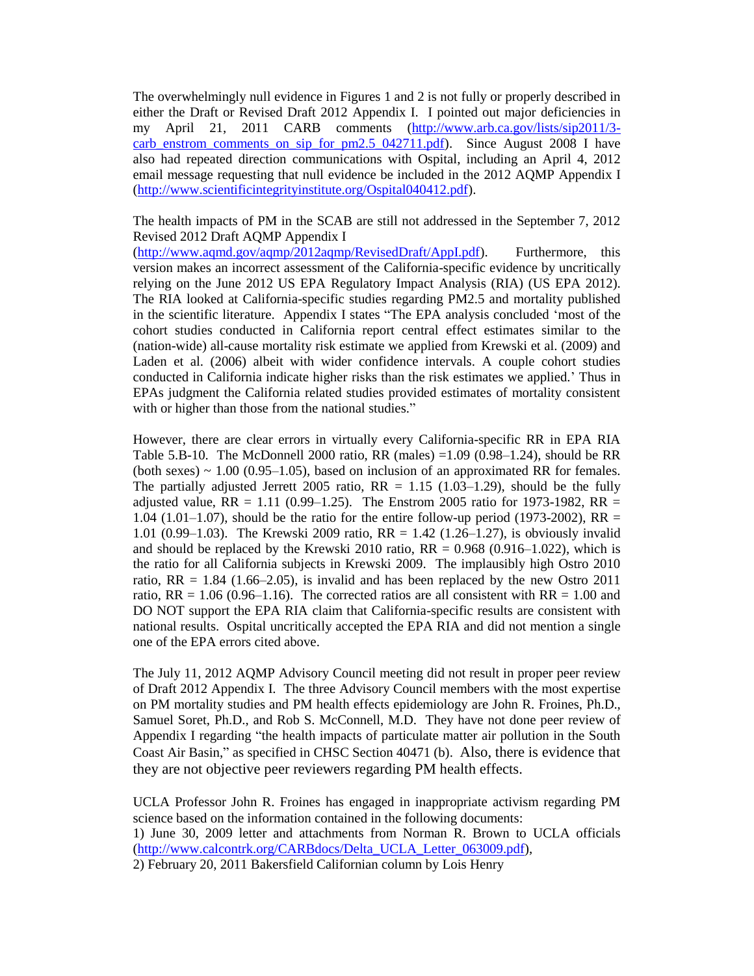The overwhelmingly null evidence in Figures 1 and 2 is not fully or properly described in either the Draft or Revised Draft 2012 Appendix I. I pointed out major deficiencies in my April 21, 2011 CARB comments [\(http://www.arb.ca.gov/lists/sip2011/3](http://www.arb.ca.gov/lists/sip2011/3-carb_enstrom_comments_on_sip_for_pm2.5_042711.pdf) [carb\\_enstrom\\_comments\\_on\\_sip\\_for\\_pm2.5\\_042711.pdf\)](http://www.arb.ca.gov/lists/sip2011/3-carb_enstrom_comments_on_sip_for_pm2.5_042711.pdf). Since August 2008 I have also had repeated direction communications with Ospital, including an April 4, 2012 email message requesting that null evidence be included in the 2012 AQMP Appendix I [\(http://www.scientificintegrityinstitute.org/Ospital040412.pdf\)](http://www.scientificintegrityinstitute.org/Ospital040412.pdf).

The health impacts of PM in the SCAB are still not addressed in the September 7, 2012 Revised 2012 Draft AQMP Appendix I

[\(http://www.aqmd.gov/aqmp/2012aqmp/RevisedDraft/AppI.pdf\)](http://www.aqmd.gov/aqmp/2012aqmp/RevisedDraft/AppI.pdf). Furthermore, this version makes an incorrect assessment of the California-specific evidence by uncritically relying on the June 2012 US EPA Regulatory Impact Analysis (RIA) (US EPA 2012). The RIA looked at California-specific studies regarding PM2.5 and mortality published in the scientific literature. Appendix I states "The EPA analysis concluded 'most of the cohort studies conducted in California report central effect estimates similar to the (nation-wide) all-cause mortality risk estimate we applied from Krewski et al. (2009) and Laden et al. (2006) albeit with wider confidence intervals. A couple cohort studies conducted in California indicate higher risks than the risk estimates we applied.' Thus in EPAs judgment the California related studies provided estimates of mortality consistent with or higher than those from the national studies."

However, there are clear errors in virtually every California-specific RR in EPA RIA Table 5.B-10. The McDonnell 2000 ratio, RR (males)  $=1.09$  (0.98 $-1.24$ ), should be RR (both sexes)  $\sim$  1.00 (0.95–1.05), based on inclusion of an approximated RR for females. The partially adjusted Jerrett 2005 ratio,  $RR = 1.15$  (1.03–1.29), should be the fully adjusted value,  $RR = 1.11 (0.99 - 1.25)$ . The Enstrom 2005 ratio for 1973-1982,  $RR =$ 1.04 (1.01–1.07), should be the ratio for the entire follow-up period (1973-2002), RR  $=$ 1.01 (0.99–1.03). The Krewski 2009 ratio, RR = 1.42 (1.26–1.27), is obviously invalid and should be replaced by the Krewski 2010 ratio,  $RR = 0.968$  (0.916–1.022), which is the ratio for all California subjects in Krewski 2009. The implausibly high Ostro 2010 ratio,  $RR = 1.84$  (1.66–2.05), is invalid and has been replaced by the new Ostro 2011 ratio,  $RR = 1.06 (0.96-1.16)$ . The corrected ratios are all consistent with  $RR = 1.00$  and DO NOT support the EPA RIA claim that California-specific results are consistent with national results. Ospital uncritically accepted the EPA RIA and did not mention a single one of the EPA errors cited above.

The July 11, 2012 AQMP Advisory Council meeting did not result in proper peer review of Draft 2012 Appendix I. The three Advisory Council members with the most expertise on PM mortality studies and PM health effects epidemiology are John R. Froines, Ph.D., Samuel Soret, Ph.D., and Rob S. McConnell, M.D. They have not done peer review of Appendix I regarding "the health impacts of particulate matter air pollution in the South Coast Air Basin," as specified in CHSC Section 40471 (b). Also, there is evidence that they are not objective peer reviewers regarding PM health effects.

UCLA Professor John R. Froines has engaged in inappropriate activism regarding PM science based on the information contained in the following documents:

1) June 30, 2009 letter and attachments from Norman R. Brown to UCLA officials [\(http://www.calcontrk.org/CARBdocs/Delta\\_UCLA\\_Letter\\_063009.pdf\)](http://www.calcontrk.org/CARBdocs/Delta_UCLA_Letter_063009.pdf),

2) February 20, 2011 Bakersfield Californian column by Lois Henry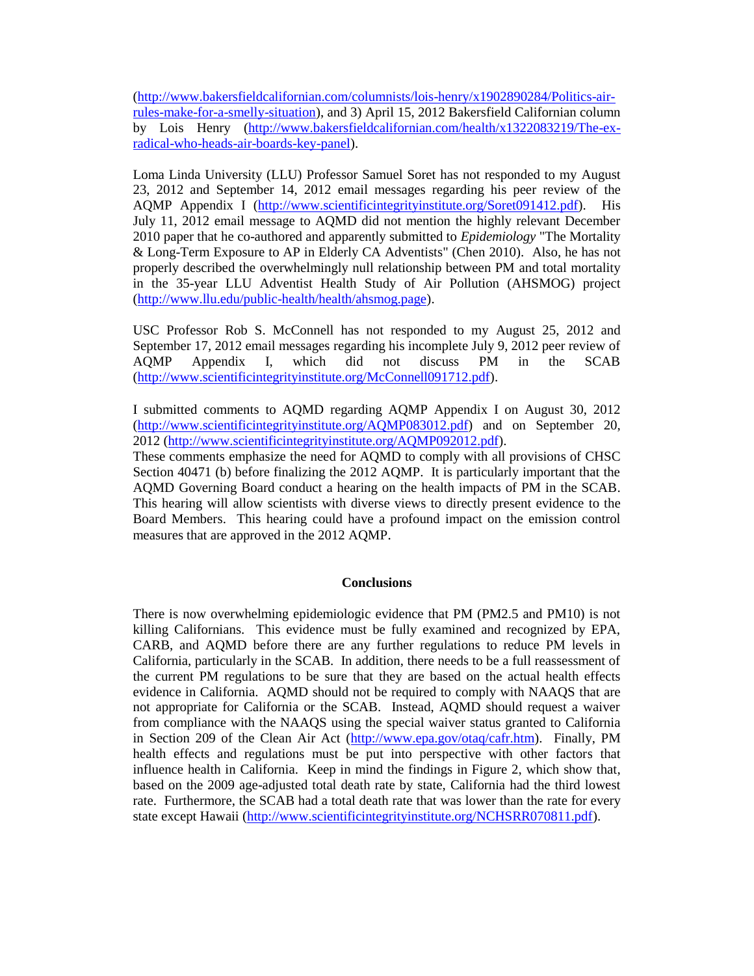[\(http://www.bakersfieldcalifornian.com/columnists/lois-henry/x1902890284/Politics-air](http://www.bakersfieldcalifornian.com/columnists/lois-henry/x1902890284/Politics-air-rules-make-for-a-smelly-situation)[rules-make-for-a-smelly-situation\)](http://www.bakersfieldcalifornian.com/columnists/lois-henry/x1902890284/Politics-air-rules-make-for-a-smelly-situation), and 3) April 15, 2012 Bakersfield Californian column by Lois Henry [\(http://www.bakersfieldcalifornian.com/health/x1322083219/The-ex](http://www.bakersfieldcalifornian.com/health/x1322083219/The-ex-radical-who-heads-air-boards-key-panel)[radical-who-heads-air-boards-key-panel\)](http://www.bakersfieldcalifornian.com/health/x1322083219/The-ex-radical-who-heads-air-boards-key-panel).

Loma Linda University (LLU) Professor Samuel Soret has not responded to my August 23, 2012 and September 14, 2012 email messages regarding his peer review of the AQMP Appendix I [\(http://www.scientificintegrityinstitute.org/Soret091412.pdf\)](http://www.scientificintegrityinstitute.org/Soret091412.pdf). His July 11, 2012 email message to AQMD did not mention the highly relevant December 2010 paper that he co-authored and apparently submitted to *Epidemiology* "The Mortality & Long-Term Exposure to AP in Elderly CA Adventists" (Chen 2010). Also, he has not properly described the overwhelmingly null relationship between PM and total mortality in the 35-year LLU Adventist Health Study of Air Pollution (AHSMOG) project [\(http://www.llu.edu/public-health/health/ahsmog.page\)](http://www.llu.edu/public-health/health/ahsmog.page).

USC Professor Rob S. McConnell has not responded to my August 25, 2012 and September 17, 2012 email messages regarding his incomplete July 9, 2012 peer review of AQMP Appendix I, which did not discuss PM in the SCAB [\(http://www.scientificintegrityinstitute.org/McConnell091712.pdf\)](http://www.scientificintegrityinstitute.org/McConnell091712.pdf).

I submitted comments to AQMD regarding AQMP Appendix I on August 30, 2012 [\(http://www.scientificintegrityinstitute.org/AQMP083012.pdf\)](http://www.scientificintegrityinstitute.org/AQMP083012.pdf) and on September 20, 2012 [\(http://www.scientificintegrityinstitute.org/AQMP092012.pdf\)](http://www.scientificintegrityinstitute.org/AQMP092012.pdf).

These comments emphasize the need for AQMD to comply with all provisions of CHSC Section 40471 (b) before finalizing the 2012 AQMP. It is particularly important that the AQMD Governing Board conduct a hearing on the health impacts of PM in the SCAB. This hearing will allow scientists with diverse views to directly present evidence to the Board Members. This hearing could have a profound impact on the emission control measures that are approved in the 2012 AQMP.

## **Conclusions**

There is now overwhelming epidemiologic evidence that PM (PM2.5 and PM10) is not killing Californians. This evidence must be fully examined and recognized by EPA, CARB, and AQMD before there are any further regulations to reduce PM levels in California, particularly in the SCAB. In addition, there needs to be a full reassessment of the current PM regulations to be sure that they are based on the actual health effects evidence in California. AQMD should not be required to comply with NAAQS that are not appropriate for California or the SCAB. Instead, AQMD should request a waiver from compliance with the NAAQS using the special waiver status granted to California in Section 209 of the Clean Air Act [\(http://www.epa.gov/otaq/cafr.htm\)](http://www.epa.gov/otaq/cafr.htm). Finally, PM health effects and regulations must be put into perspective with other factors that influence health in California. Keep in mind the findings in Figure 2, which show that, based on the 2009 age-adjusted total death rate by state, California had the third lowest rate. Furthermore, the SCAB had a total death rate that was lower than the rate for every state except Hawaii [\(http://www.scientificintegrityinstitute.org/NCHSRR070811.pdf\)](http://www.scientificintegrityinstitute.org/NCHSRR070811.pdf).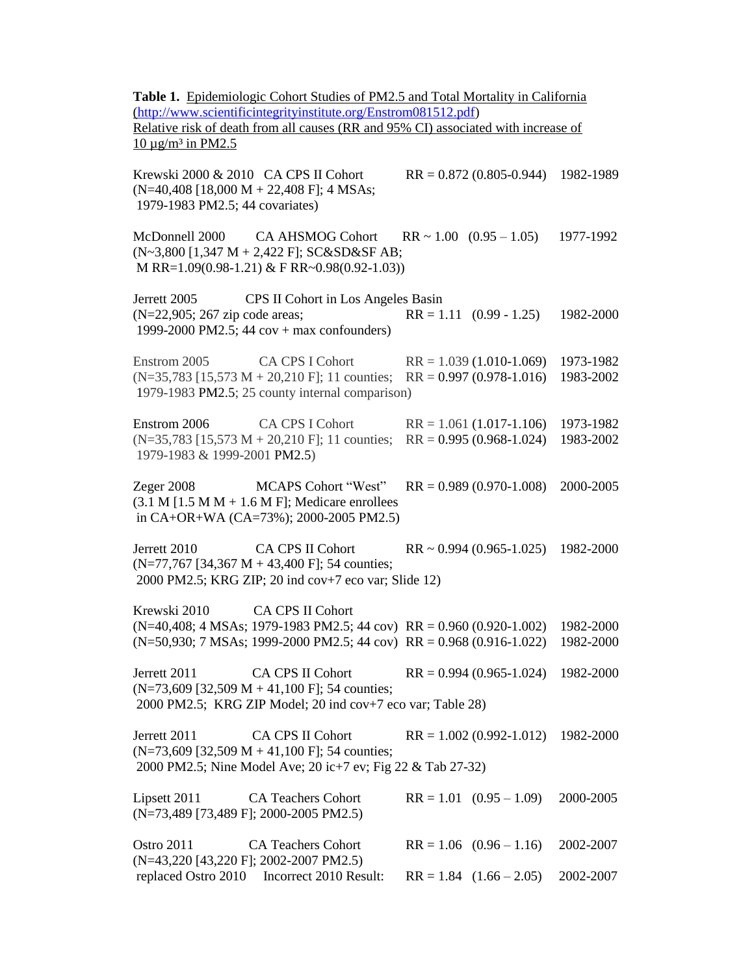**Table 1.** Epidemiologic Cohort Studies of PM2.5 and Total Mortality in California [\(http://www.scientificintegrityinstitute.org/Enstrom081512.pdf\)](http://www.scientificintegrityinstitute.org/Enstrom081512.pdf) Relative risk of death from all causes (RR and 95% CI) associated with increase of  $10 \mu$ g/m<sup>3</sup> in PM2.5 Krewski 2000 & 2010 CA CPS II Cohort RR = 0.872 (0.805-0.944) 1982-1989 (N=40,408 [18,000 M + 22,408 F]; 4 MSAs; 1979-1983 PM2.5; 44 covariates) McDonnell 2000 CA AHSMOG Cohort RR ~ 1.00 (0.95 – 1.05) 1977-1992 (N~3,800 [1,347 M + 2,422 F]; SC&SD&SF AB; M RR=1.09(0.98-1.21) & F RR~0.98(0.92-1.03)) Jerrett 2005 CPS II Cohort in Los Angeles Basin (N=22,905; 267 zip code areas; RR = 1.11 (0.99 - 1.25) 1982-2000 1999-2000 PM2.5; 44 cov + max confounders) Enstrom 2005 CA CPS I Cohort RR = 1.039 (1.010-1.069) 1973-1982 (N=35,783 [15,573 M + 20,210 F]; 11 counties; RR = 0.997 (0.978-1.016) 1983-2002 1979-1983 PM2.5; 25 county internal comparison) Enstrom 2006 CA CPS I Cohort RR = 1.061 (1.017-1.106) 1973-1982 (N=35,783 [15,573 M + 20,210 F]; 11 counties; RR = 0.995 (0.968-1.024) 1983-2002 1979-1983 & 1999-2001 PM2.5) Zeger 2008 MCAPS Cohort "West" RR = 0.989 (0.970-1.008) 2000-2005  $(3.1 M [1.5 M M + 1.6 M F];$  Medicare enrollees in CA+OR+WA (CA=73%); 2000-2005 PM2.5) Jerrett 2010 CA CPS II Cohort RR ~ 0.994 (0.965-1.025) 1982-2000  $(N=77,767)$  [34,367 M + 43,400 F]; 54 counties; 2000 PM2.5; KRG ZIP; 20 ind cov+7 eco var; Slide 12) Krewski 2010 CA CPS II Cohort (N=40,408; 4 MSAs; 1979-1983 PM2.5; 44 cov) RR = 0.960 (0.920-1.002) 1982-2000 (N=50,930; 7 MSAs; 1999-2000 PM2.5; 44 cov) RR = 0.968 (0.916-1.022) 1982-2000 Jerrett 2011 CA CPS II Cohort RR = 0.994 (0.965-1.024) 1982-2000  $(N=73,609$  [32,509 M + 41,100 F]; 54 counties; 2000 PM2.5; KRG ZIP Model; 20 ind cov+7 eco var; Table 28) Jerrett 2011 CA CPS II Cohort RR = 1.002 (0.992-1.012) 1982-2000  $(N=73,609$  [32,509 M + 41,100 F]; 54 counties; 2000 PM2.5; Nine Model Ave; 20 ic+7 ev; Fig 22 & Tab 27-32) Lipsett 2011 CA Teachers Cohort RR = 1.01 (0.95 – 1.09) 2000-2005 (N=73,489 [73,489 F]; 2000-2005 PM2.5) Ostro 2011 CA Teachers Cohort RR = 1.06 (0.96 – 1.16) 2002-2007 (N=43,220 [43,220 F]; 2002-2007 PM2.5) replaced Ostro 2010 Incorrect 2010 Result: RR = 1.84 (1.66 – 2.05) 2002-2007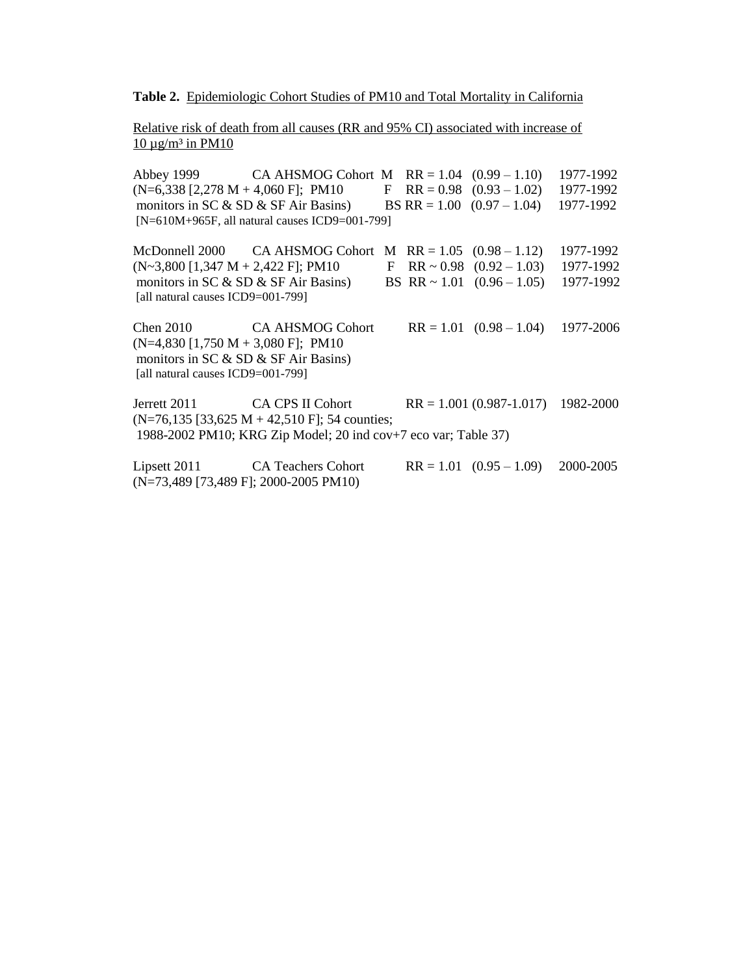#### **Table 2.** Epidemiologic Cohort Studies of PM10 and Total Mortality in California

Relative risk of death from all causes (RR and 95% CI) associated with increase of  $10 \mu g/m^3$  in PM10

Abbey 1999 CA AHSMOG Cohort M RR = 1.04 (0.99 – 1.10) 1977-1992  $(N=6,338 [2,278 M + 4,060 F]; PM10$  F RR = 0.98  $(0.93 - 1.02)$  1977-1992 monitors in SC & SD & SF Air Basins) BS RR = 1.00 (0.97 – 1.04) 1977-1992 [N=610M+965F, all natural causes ICD9=001-799] McDonnell 2000 CA AHSMOG Cohort M RR = 1.05 (0.98 – 1.12) 1977-1992  $(N~3,800)$  [1,347 M + 2,422 F]; PM10 F RR ~ 0.98 (0.92 – 1.03) 1977-1992 monitors in SC & SD & SF Air Basins) BS RR ~ 1.01 (0.96 – 1.05) 1977-1992 [all natural causes ICD9=001-799] Chen 2010 CA AHSMOG Cohort  $RR = 1.01 (0.98 - 1.04) 1977-2006$  $(N=4,830 [1,750 M + 3,080 F]; PM10$ monitors in SC & SD & SF Air Basins) [all natural causes ICD9=001-799] Jerrett 2011 CA CPS II Cohort RR = 1.001 (0.987-1.017) 1982-2000  $(N=76,135$  [33,625 M + 42,510 F]; 54 counties; 1988-2002 PM10; KRG Zip Model; 20 ind cov+7 eco var; Table 37) Lipsett 2011 CA Teachers Cohort RR = 1.01 (0.95 – 1.09) 2000-2005

(N=73,489 [73,489 F]; 2000-2005 PM10)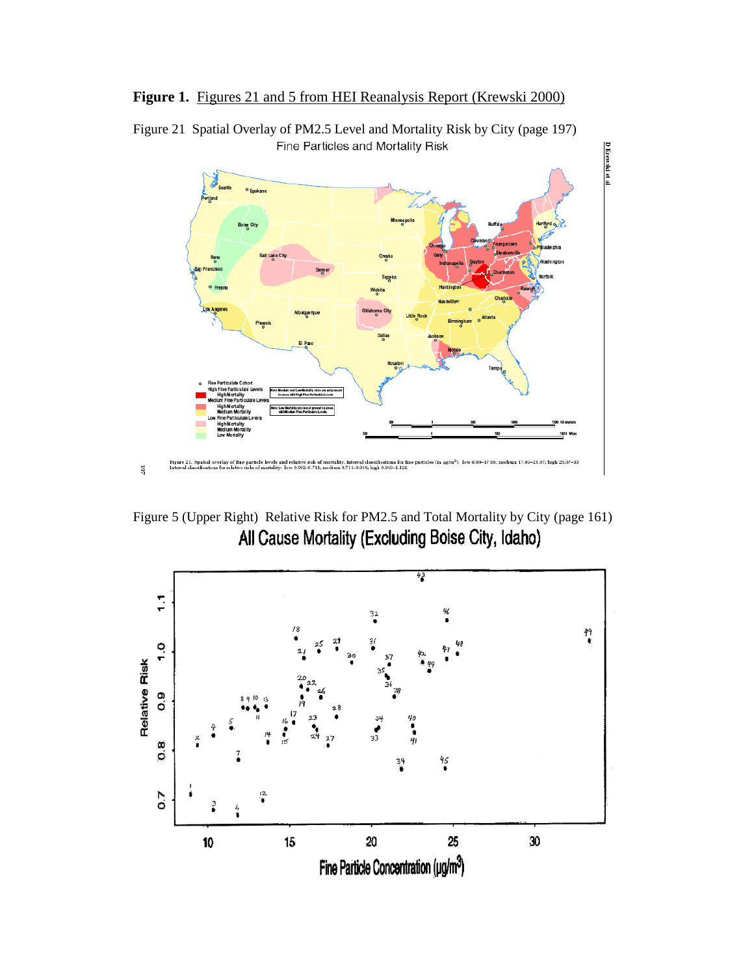



Figure 21 Spatial Overlay of PM2.5 Level and Mortality Risk by City (page 197) Fine Particles and Mortality Risk

Figure 5 (Upper Right) Relative Risk for PM2.5 and Total Mortality by City (page 161)<br>All Cause Mortality (Excluding Boise City, Idaho)

 $107\,$ 

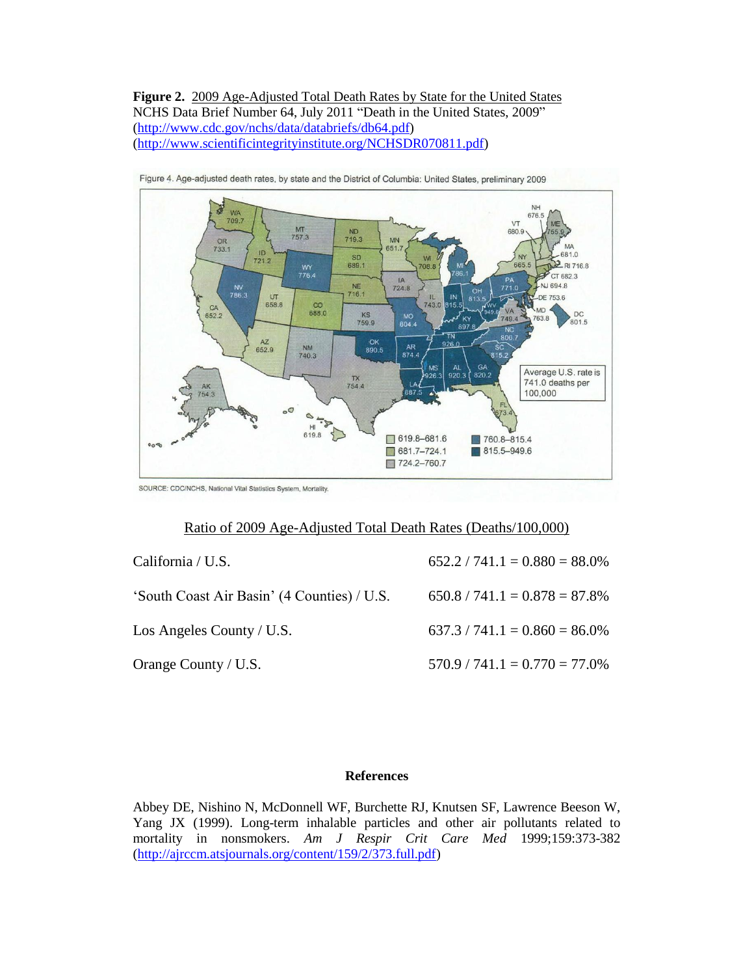**Figure 2.** 2009 Age-Adjusted Total Death Rates by State for the United States NCHS Data Brief Number 64, July 2011 "Death in the United States, 2009" [\(http://www.cdc.gov/nchs/data/databriefs/db64.pdf\)](http://www.cdc.gov/nchs/data/databriefs/db64.pdf) [\(http://www.scientificintegrityinstitute.org/NCHSDR070811.pdf\)](http://www.scientificintegrityinstitute.org/NCHSDR070811.pdf)





SOURCE: CDC/NCHS, National Vital Statistics System, Mortality.

## Ratio of 2009 Age-Adjusted Total Death Rates (Deaths/100,000)

| California / U.S.                           | $652.2 / 741.1 = 0.880 = 88.0\%$ |
|---------------------------------------------|----------------------------------|
| 'South Coast Air Basin' (4 Counties) / U.S. | $650.8 / 741.1 = 0.878 = 87.8\%$ |
| Los Angeles County / U.S.                   | $637.3 / 741.1 = 0.860 = 86.0\%$ |
| Orange County / U.S.                        | $570.9 / 741.1 = 0.770 = 77.0\%$ |

### **References**

Abbey DE, Nishino N, McDonnell WF, Burchette RJ, Knutsen SF, Lawrence Beeson W, Yang JX (1999). Long-term inhalable particles and other air pollutants related to mortality in nonsmokers. *Am J Respir Crit Care Med* 1999;159:373-382 [\(http://ajrccm.atsjournals.org/content/159/2/373.full.pdf\)](http://ajrccm.atsjournals.org/content/159/2/373.full.pdf)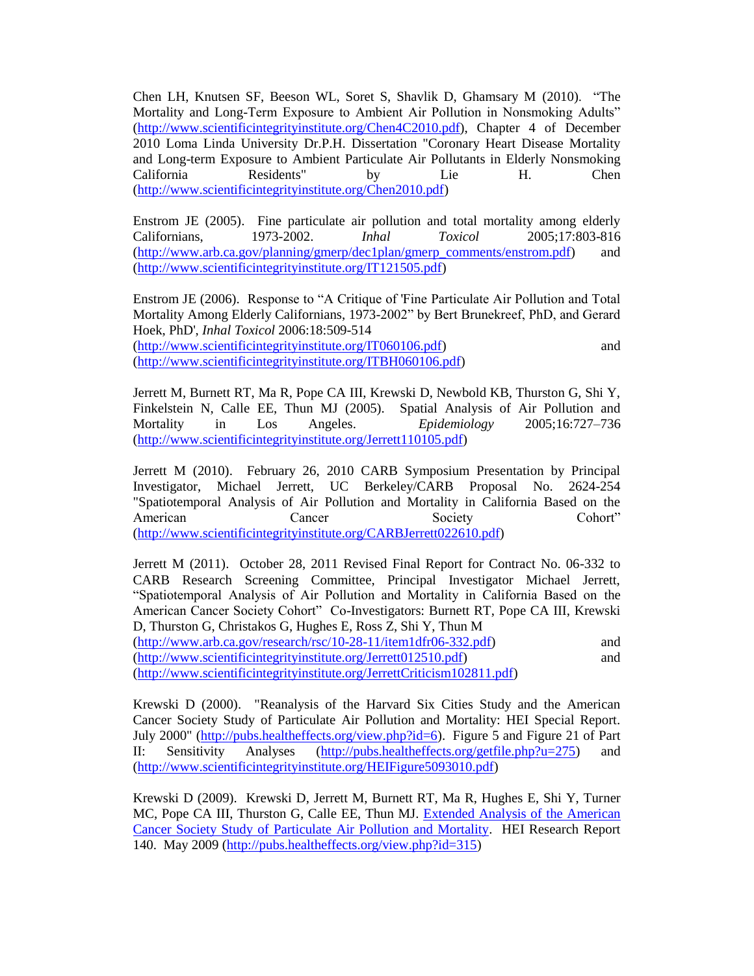Chen LH, Knutsen SF, Beeson WL, Soret S, Shavlik D, Ghamsary M (2010). "The Mortality and Long-Term Exposure to Ambient Air Pollution in Nonsmoking Adults" [\(http://www.scientificintegrityinstitute.org/Chen4C2010.pdf\)](http://www.scientificintegrityinstitute.org/Chen4C2010.pdf), Chapter 4 of December 2010 Loma Linda University Dr.P.H. Dissertation "Coronary Heart Disease Mortality and Long-term Exposure to Ambient Particulate Air Pollutants in Elderly Nonsmoking California Residents" by Lie H. Chen [\(http://www.scientificintegrityinstitute.org/Chen2010.pdf\)](http://www.scientificintegrityinstitute.org/Chen2010.pdf)

Enstrom JE (2005). Fine particulate air pollution and total mortality among elderly Californians, 1973-2002. *Inhal Toxicol* 2005;17:803-816 [\(http://www.arb.ca.gov/planning/gmerp/dec1plan/gmerp\\_comments/enstrom.pdf\)](http://www.arb.ca.gov/planning/gmerp/dec1plan/gmerp_comments/enstrom.pdf) and [\(http://www.scientificintegrityinstitute.org/IT121505.pdf\)](http://www.scientificintegrityinstitute.org/IT121505.pdf)

Enstrom JE (2006). Response to "A Critique of 'Fine Particulate Air Pollution and Total Mortality Among Elderly Californians, 1973-2002" by Bert Brunekreef, PhD, and Gerard Hoek, PhD', *Inhal Toxicol* 2006:18:509-514

[\(http://www.scientificintegrityinstitute.org/IT060106.pdf\)](http://www.scientificintegrityinstitute.org/IT060106.pdf) and [\(http://www.scientificintegrityinstitute.org/ITBH060106.pdf\)](http://www.scientificintegrityinstitute.org/ITBH060106.pdf)

Jerrett M, Burnett RT, Ma R, Pope CA III, Krewski D, Newbold KB, Thurston G, Shi Y, Finkelstein N, Calle EE, Thun MJ (2005). Spatial Analysis of Air Pollution and Mortality in Los Angeles. *Epidemiology* 2005;16:727–736 [\(http://www.scientificintegrityinstitute.org/Jerrett110105.pdf\)](http://www.scientificintegrityinstitute.org/Jerrett110105.pdf)

Jerrett M (2010). February 26, 2010 CARB Symposium Presentation by Principal Investigator, Michael Jerrett, UC Berkeley/CARB Proposal No. 2624-254 "Spatiotemporal Analysis of Air Pollution and Mortality in California Based on the American Cancer Society Cohort" [\(http://www.scientificintegrityinstitute.org/CARBJerrett022610.pdf\)](http://www.scientificintegrityinstitute.org/CARBJerrett022610.pdf)

Jerrett M (2011). October 28, 2011 Revised Final Report for Contract No. 06-332 to CARB Research Screening Committee, Principal Investigator Michael Jerrett, "Spatiotemporal Analysis of Air Pollution and Mortality in California Based on the American Cancer Society Cohort" Co-Investigators: Burnett RT, Pope CA III, Krewski D, Thurston G, Christakos G, Hughes E, Ross Z, Shi Y, Thun M

[\(http://www.arb.ca.gov/research/rsc/10-28-11/item1dfr06-332.pdf\)](http://www.arb.ca.gov/research/rsc/10-28-11/item1dfr06-332.pdf) and [\(http://www.scientificintegrityinstitute.org/Jerrett012510.pdf\)](http://www.scientificintegrityinstitute.org/Jerrett012510.pdf) and [\(http://www.scientificintegrityinstitute.org/JerrettCriticism102811.pdf\)](http://www.scientificintegrityinstitute.org/JerrettCriticism102811.pdf)

Krewski D (2000). "Reanalysis of the Harvard Six Cities Study and the American Cancer Society Study of Particulate Air Pollution and Mortality: HEI Special Report. July 2000" [\(http://pubs.healtheffects.org/view.php?id=6\)](http://pubs.healtheffects.org/view.php?id=6). Figure 5 and Figure 21 of Part II: Sensitivity Analyses [\(http://pubs.healtheffects.org/getfile.php?u=275\)](http://pubs.healtheffects.org/getfile.php?u=275) and [\(http://www.scientificintegrityinstitute.org/HEIFigure5093010.pdf\)](http://www.scientificintegrityinstitute.org/HEIFigure5093010.pdf)

Krewski D (2009). Krewski D, Jerrett M, Burnett RT, Ma R, Hughes E, Shi Y, Turner MC, Pope CA III, Thurston G, Calle EE, Thun MJ. [Extended Analysis of the American](http://pubs.healtheffects.org/view.php?id=315)  [Cancer Society Study of Particulate Air Pollution and Mortality.](http://pubs.healtheffects.org/view.php?id=315) HEI Research Report 140. May 2009 [\(http://pubs.healtheffects.org/view.php?id=315\)](http://pubs.healtheffects.org/view.php?id=315)